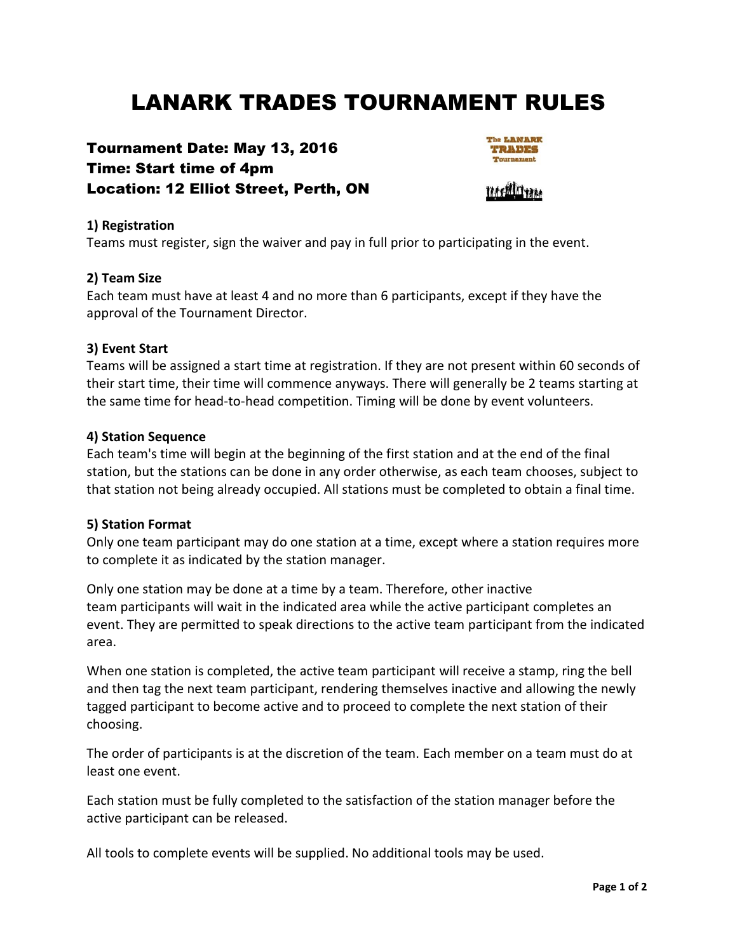# LANARK TRADES TOURNAMENT RULES

# Tournament Date: May 13, 2016 Time: Start time of 4pm Location: 12 Elliot Street, Perth, ON



### **1) Registration**

Teams must register, sign the waiver and pay in full prior to participating in the event.

### **2) Team Size**

Each team must have at least 4 and no more than 6 participants, except if they have the approval of the Tournament Director.

#### **3) Event Start**

Teams will be assigned a start time at registration. If they are not present within 60 seconds of their start time, their time will commence anyways. There will generally be 2 teams starting at the same time for head-to-head competition. Timing will be done by event volunteers.

#### **4) Station Sequence**

Each team's time will begin at the beginning of the first station and at the end of the final station, but the stations can be done in any order otherwise, as each team chooses, subject to that station not being already occupied. All stations must be completed to obtain a final time.

#### **5) Station Format**

Only one team participant may do one station at a time, except where a station requires more to complete it as indicated by the station manager.

Only one station may be done at a time by a team. Therefore, other inactive team participants will wait in the indicated area while the active participant completes an event. They are permitted to speak directions to the active team participant from the indicated area.

When one station is completed, the active team participant will receive a stamp, ring the bell and then tag the next team participant, rendering themselves inactive and allowing the newly tagged participant to become active and to proceed to complete the next station of their choosing.

The order of participants is at the discretion of the team. Each member on a team must do at least one event.

Each station must be fully completed to the satisfaction of the station manager before the active participant can be released.

All tools to complete events will be supplied. No additional tools may be used.